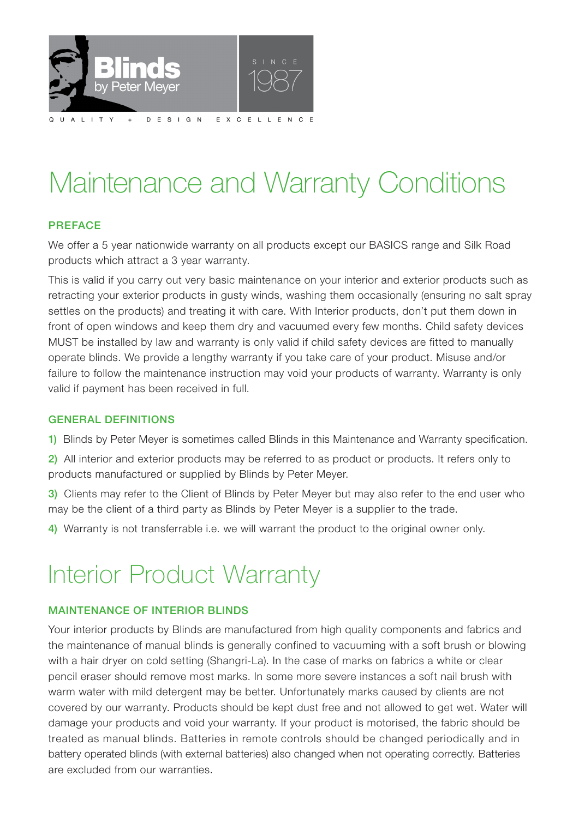

# Maintenance and Warranty Conditions

# PREFACE

We offer a 5 year nationwide warranty on all products except our BASICS range and Silk Road products which attract a 3 year warranty.

This is valid if you carry out very basic maintenance on your interior and exterior products such as retracting your exterior products in gusty winds, washing them occasionally (ensuring no salt spray settles on the products) and treating it with care. With Interior products, don't put them down in front of open windows and keep them dry and vacuumed every few months. Child safety devices MUST be installed by law and warranty is only valid if child safety devices are fitted to manually operate blinds. We provide a lengthy warranty if you take care of your product. Misuse and/or failure to follow the maintenance instruction may void your products of warranty. Warranty is only valid if payment has been received in full.

# GENERAL DEFINITIONS

1) Blinds by Peter Meyer is sometimes called Blinds in this Maintenance and Warranty specification.

2) All interior and exterior products may be referred to as product or products. It refers only to products manufactured or supplied by Blinds by Peter Meyer.

3) Clients may refer to the Client of Blinds by Peter Meyer but may also refer to the end user who may be the client of a third party as Blinds by Peter Meyer is a supplier to the trade.

4) Warranty is not transferrable i.e. we will warrant the product to the original owner only.

# Interior Product Warranty

# MAINTENANCE OF INTERIOR BLINDS

Your interior products by Blinds are manufactured from high quality components and fabrics and the maintenance of manual blinds is generally confined to vacuuming with a soft brush or blowing with a hair dryer on cold setting (Shangri-La). In the case of marks on fabrics a white or clear pencil eraser should remove most marks. In some more severe instances a soft nail brush with warm water with mild detergent may be better. Unfortunately marks caused by clients are not covered by our warranty. Products should be kept dust free and not allowed to get wet. Water will damage your products and void your warranty. If your product is motorised, the fabric should be treated as manual blinds. Batteries in remote controls should be changed periodically and in battery operated blinds (with external batteries) also changed when not operating correctly. Batteries are excluded from our warranties.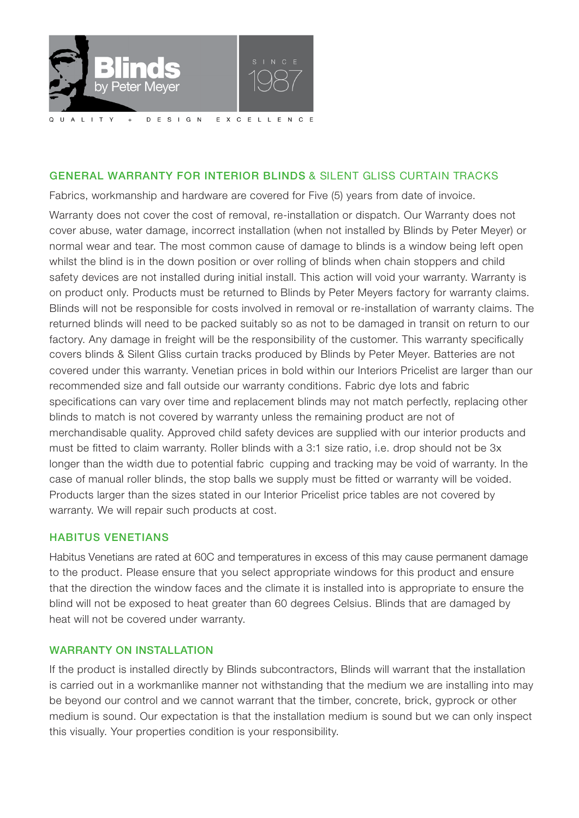

### GENERAL WARRANTY FOR INTERIOR BLINDS & SILENT GLISS CURTAIN TRACKS

Fabrics, workmanship and hardware are covered for Five (5) years from date of invoice.

Warranty does not cover the cost of removal, re-installation or dispatch. Our Warranty does not cover abuse, water damage, incorrect installation (when not installed by Blinds by Peter Meyer) or normal wear and tear. The most common cause of damage to blinds is a window being left open whilst the blind is in the down position or over rolling of blinds when chain stoppers and child safety devices are not installed during initial install. This action will void your warranty. Warranty is on product only. Products must be returned to Blinds by Peter Meyers factory for warranty claims. Blinds will not be responsible for costs involved in removal or re-installation of warranty claims. The returned blinds will need to be packed suitably so as not to be damaged in transit on return to our factory. Any damage in freight will be the responsibility of the customer. This warranty specifically covers blinds & Silent Gliss curtain tracks produced by Blinds by Peter Meyer. Batteries are not covered under this warranty. Venetian prices in bold within our Interiors Pricelist are larger than our recommended size and fall outside our warranty conditions. Fabric dye lots and fabric specifications can vary over time and replacement blinds may not match perfectly, replacing other blinds to match is not covered by warranty unless the remaining product are not of merchandisable quality. Approved child safety devices are supplied with our interior products and must be fitted to claim warranty. Roller blinds with a 3:1 size ratio, i.e. drop should not be 3x longer than the width due to potential fabric cupping and tracking may be void of warranty. In the case of manual roller blinds, the stop balls we supply must be fitted or warranty will be voided. Products larger than the sizes stated in our Interior Pricelist price tables are not covered by warranty. We will repair such products at cost.

#### HABITUS VENETIANS

Habitus Venetians are rated at 60C and temperatures in excess of this may cause permanent damage to the product. Please ensure that you select appropriate windows for this product and ensure that the direction the window faces and the climate it is installed into is appropriate to ensure the blind will not be exposed to heat greater than 60 degrees Celsius. Blinds that are damaged by heat will not be covered under warranty.

#### WARRANTY ON INSTALLATION

If the product is installed directly by Blinds subcontractors, Blinds will warrant that the installation is carried out in a workmanlike manner not withstanding that the medium we are installing into may be beyond our control and we cannot warrant that the timber, concrete, brick, gyprock or other medium is sound. Our expectation is that the installation medium is sound but we can only inspect this visually. Your properties condition is your responsibility.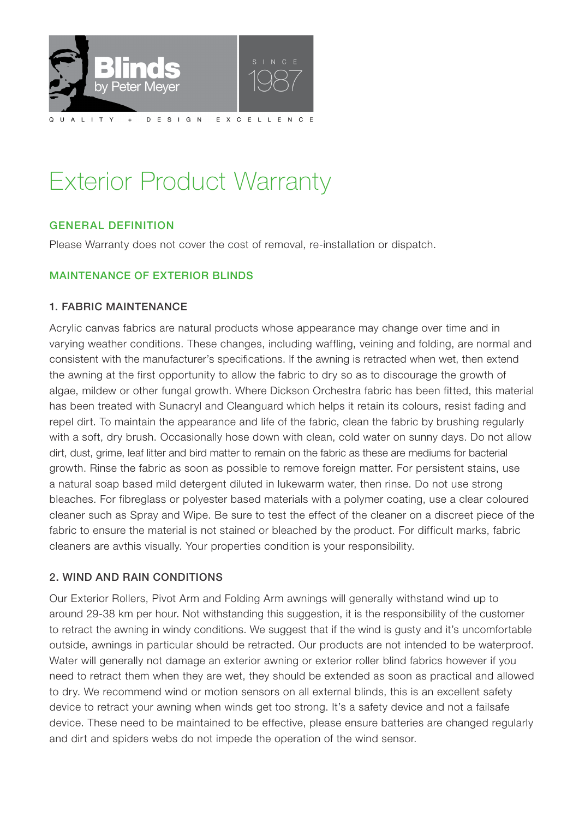

# Exterior Product Warranty

# GENERAL DEFINITION

Please Warranty does not cover the cost of removal, re-installation or dispatch.

### MAINTENANCE OF EXTERIOR BLINDS

#### 1. FABRIC MAINTENANCE

Acrylic canvas fabrics are natural products whose appearance may change over time and in varying weather conditions. These changes, including waffling, veining and folding, are normal and consistent with the manufacturer's specifications. lf the awning is retracted when wet, then extend the awning at the first opportunity to allow the fabric to dry so as to discourage the growth of algae, mildew or other fungal growth. Where Dickson Orchestra fabric has been fitted, this material has been treated with Sunacryl and Cleanguard which helps it retain its colours, resist fading and repel dirt. To maintain the appearance and life of the fabric, clean the fabric by brushing regularly with a soft, dry brush. Occasionally hose down with clean, cold water on sunny days. Do not allow dirt, dust, grime, leaf litter and bird matter to remain on the fabric as these are mediums for bacterial growth. Rinse the fabric as soon as possible to remove foreign matter. For persistent stains, use a natural soap based mild detergent diluted in lukewarm water, then rinse. Do not use strong bleaches. For fibreglass or polyester based materials with a polymer coating, use a clear coloured cleaner such as Spray and Wipe. Be sure to test the effect of the cleaner on a discreet piece of the fabric to ensure the material is not stained or bleached by the product. For difficult marks, fabric cleaners are avthis visually. Your properties condition is your responsibility.

#### 2. WIND AND RAIN CONDITIONS

Our Exterior Rollers, Pivot Arm and Folding Arm awnings will generally withstand wind up to around 29-38 km per hour. Not withstanding this suggestion, it is the responsibility of the customer to retract the awning in windy conditions. We suggest that if the wind is gusty and it's uncomfortable outside, awnings in particular should be retracted. Our products are not intended to be waterproof. Water will generally not damage an exterior awning or exterior roller blind fabrics however if you need to retract them when they are wet, they should be extended as soon as practical and allowed to dry. We recommend wind or motion sensors on all external blinds, this is an excellent safety device to retract your awning when winds get too strong. It's a safety device and not a failsafe device. These need to be maintained to be effective, please ensure batteries are changed regularly and dirt and spiders webs do not impede the operation of the wind sensor.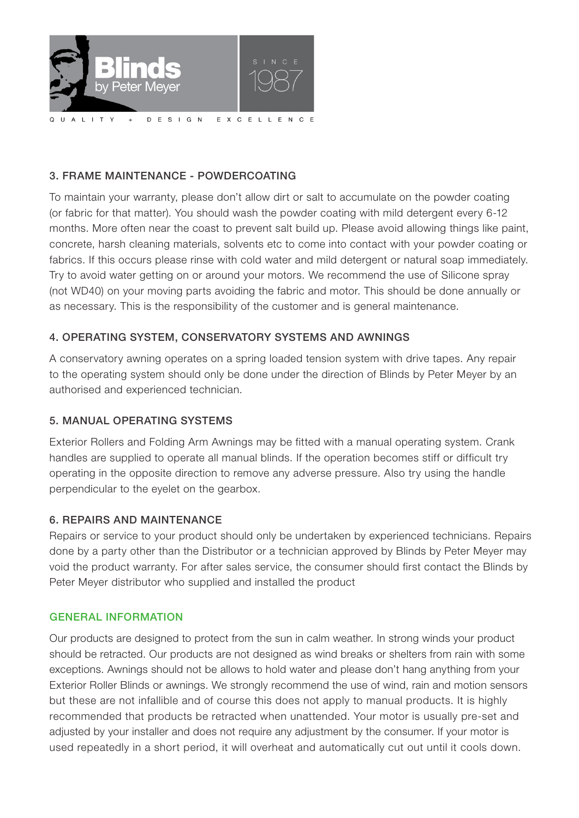

# 3. FRAME MAINTENANCE - POWDERCOATING

To maintain your warranty, please don't allow dirt or salt to accumulate on the powder coating (or fabric for that matter). You should wash the powder coating with mild detergent every 6-12 months. More often near the coast to prevent salt build up. Please avoid allowing things like paint, concrete, harsh cleaning materials, solvents etc to come into contact with your powder coating or fabrics. If this occurs please rinse with cold water and mild detergent or natural soap immediately. Try to avoid water getting on or around your motors. We recommend the use of Silicone spray (not WD40) on your moving parts avoiding the fabric and motor. This should be done annually or as necessary. This is the responsibility of the customer and is general maintenance.

# 4. OPERATING SYSTEM, CONSERVATORY SYSTEMS AND AWNINGS

A conservatory awning operates on a spring loaded tension system with drive tapes. Any repair to the operating system should only be done under the direction of Blinds by Peter Meyer by an authorised and experienced technician.

# 5. MANUAL OPERATING SYSTEMS

Exterior Rollers and Folding Arm Awnings may be fitted with a manual operating system. Crank handles are supplied to operate all manual blinds. If the operation becomes stiff or difficult try operating in the opposite direction to remove any adverse pressure. Also try using the handle perpendicular to the eyelet on the gearbox.

# 6. REPAIRS AND MAINTENANCE

Repairs or service to your product should only be undertaken by experienced technicians. Repairs done by a party other than the Distributor or a technician approved by Blinds by Peter Meyer may void the product warranty. For after sales service, the consumer should first contact the Blinds by Peter Meyer distributor who supplied and installed the product

#### GENERAL INFORMATION

Our products are designed to protect from the sun in calm weather. In strong winds your product should be retracted. Our products are not designed as wind breaks or shelters from rain with some exceptions. Awnings should not be allows to hold water and please don't hang anything from your Exterior Roller Blinds or awnings. We strongly recommend the use of wind, rain and motion sensors but these are not infallible and of course this does not apply to manual products. It is highly recommended that products be retracted when unattended. Your motor is usually pre-set and adjusted by your installer and does not require any adjustment by the consumer. If your motor is used repeatedly in a short period, it will overheat and automatically cut out until it cools down.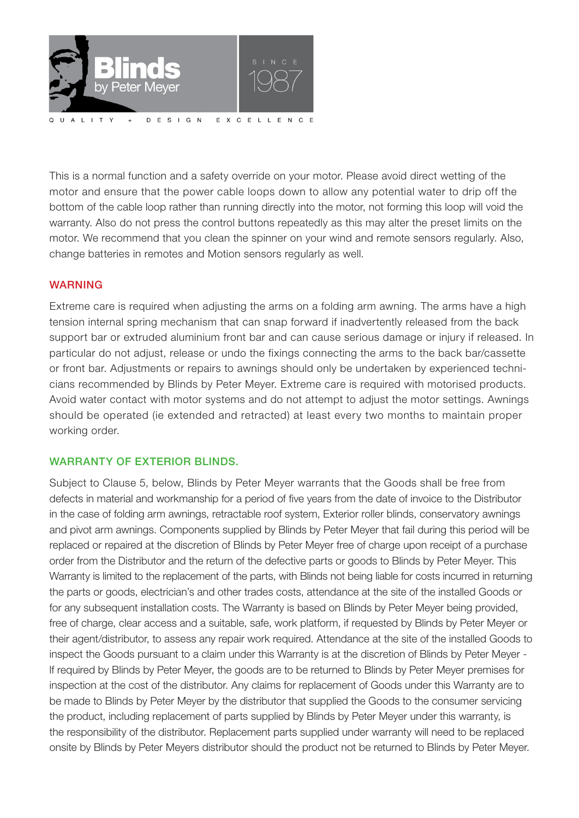

This is a normal function and a safety override on your motor. Please avoid direct wetting of the motor and ensure that the power cable loops down to allow any potential water to drip off the bottom of the cable loop rather than running directly into the motor, not forming this loop will void the warranty. Also do not press the control buttons repeatedly as this may alter the preset limits on the motor. We recommend that you clean the spinner on your wind and remote sensors regularly. Also, change batteries in remotes and Motion sensors regularly as well.

### WARNING

Extreme care is required when adjusting the arms on a folding arm awning. The arms have a high tension internal spring mechanism that can snap forward if inadvertently released from the back support bar or extruded aluminium front bar and can cause serious damage or injury if released. In particular do not adjust, release or undo the fixings connecting the arms to the back bar/cassette or front bar. Adjustments or repairs to awnings should only be undertaken by experienced technicians recommended by Blinds by Peter Meyer. Extreme care is required with motorised products. Avoid water contact with motor systems and do not attempt to adjust the motor settings. Awnings should be operated (ie extended and retracted) at least every two months to maintain proper working order.

#### WARRANTY OF EXTERIOR BLINDS.

Subject to Clause 5, below, Blinds by Peter Meyer warrants that the Goods shall be free from defects in material and workmanship for a period of five years from the date of invoice to the Distributor in the case of folding arm awnings, retractable roof system, Exterior roller blinds, conservatory awnings and pivot arm awnings. Components supplied by Blinds by Peter Meyer that fail during this period will be replaced or repaired at the discretion of Blinds by Peter Meyer free of charge upon receipt of a purchase order from the Distributor and the return of the defective parts or goods to Blinds by Peter Meyer. This Warranty is limited to the replacement of the parts, with Blinds not being liable for costs incurred in returning the parts or goods, electrician's and other trades costs, attendance at the site of the installed Goods or for any subsequent installation costs. The Warranty is based on Blinds by Peter Meyer being provided, free of charge, clear access and a suitable, safe, work platform, if requested by Blinds by Peter Meyer or their agent/distributor, to assess any repair work required. Attendance at the site of the installed Goods to inspect the Goods pursuant to a claim under this Warranty is at the discretion of Blinds by Peter Meyer lf required by Blinds by Peter Meyer, the goods are to be returned to Blinds by Peter Meyer premises for inspection at the cost of the distributor. Any claims for replacement of Goods under this Warranty are to be made to Blinds by Peter Meyer by the distributor that supplied the Goods to the consumer servicing the product, including replacement of parts supplied by Blinds by Peter Meyer under this warranty, is the responsibility of the distributor. Replacement parts supplied under warranty will need to be replaced onsite by Blinds by Peter Meyers distributor should the product not be returned to Blinds by Peter Meyer.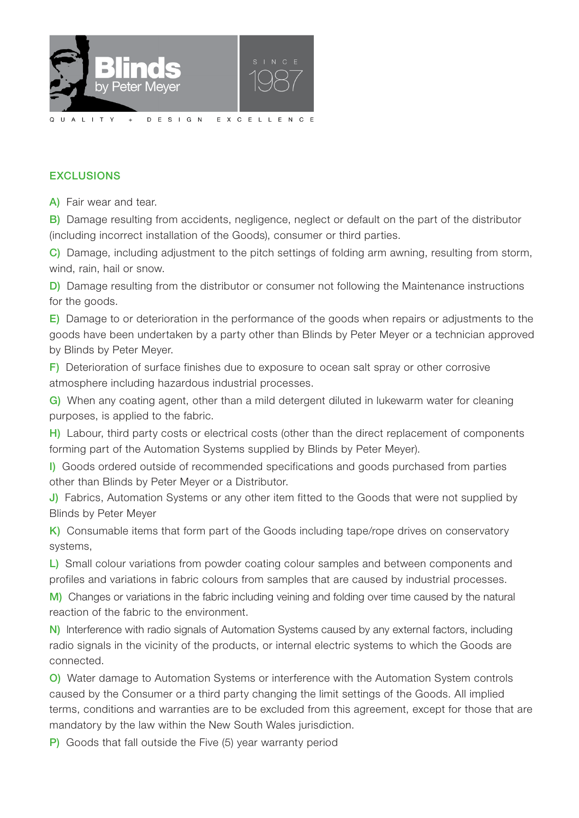

# **EXCLUSIONS**

A) Fair wear and tear.

B) Damage resulting from accidents, negligence, neglect or default on the part of the distributor (including incorrect installation of the Goods), consumer or third parties.

C) Damage, including adjustment to the pitch settings of folding arm awning, resulting from storm, wind, rain, hail or snow.

D) Damage resulting from the distributor or consumer not following the Maintenance instructions for the goods.

E) Damage to or deterioration in the performance of the goods when repairs or adjustments to the goods have been undertaken by a party other than Blinds by Peter Meyer or a technician approved by Blinds by Peter Meyer.

F) Deterioration of surface finishes due to exposure to ocean salt spray or other corrosive atmosphere including hazardous industrial processes.

G) When any coating agent, other than a mild detergent diluted in lukewarm water for cleaning purposes, is applied to the fabric.

H) Labour, third party costs or electrical costs (other than the direct replacement of components forming part of the Automation Systems supplied by Blinds by Peter Meyer).

I) Goods ordered outside of recommended specifications and goods purchased from parties other than Blinds by Peter Meyer or a Distributor.

J) Fabrics, Automation Systems or any other item fitted to the Goods that were not supplied by Blinds by Peter Meyer

K) Consumable items that form part of the Goods including tape/rope drives on conservatory systems,

L) Small colour variations from powder coating colour samples and between components and profiles and variations in fabric colours from samples that are caused by industrial processes.

M) Changes or variations in the fabric including veining and folding over time caused by the natural reaction of the fabric to the environment.

N) Interference with radio signals of Automation Systems caused by any external factors, including radio signals in the vicinity of the products, or internal electric systems to which the Goods are connected.

O) Water damage to Automation Systems or interference with the Automation System controls caused by the Consumer or a third party changing the limit settings of the Goods. All implied terms, conditions and warranties are to be excluded from this agreement, except for those that are mandatory by the law within the New South Wales jurisdiction.

P) Goods that fall outside the Five (5) year warranty period